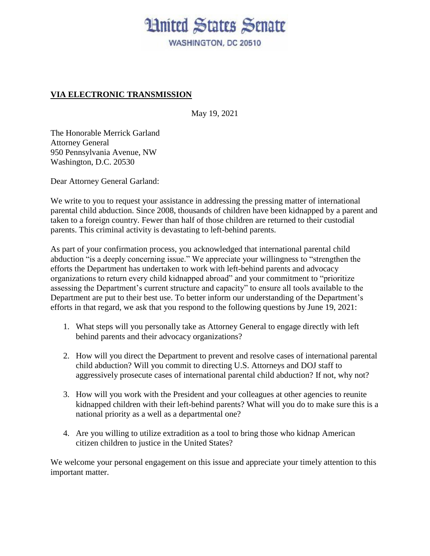## **Hnited States Senate**

WASHINGTON, DC 20510

## **VIA ELECTRONIC TRANSMISSION**

May 19, 2021

The Honorable Merrick Garland Attorney General 950 Pennsylvania Avenue, NW Washington, D.C. 20530

Dear Attorney General Garland:

We write to you to request your assistance in addressing the pressing matter of international parental child abduction. Since 2008, thousands of children have been kidnapped by a parent and taken to a foreign country. Fewer than half of those children are returned to their custodial parents. This criminal activity is devastating to left-behind parents.

As part of your confirmation process, you acknowledged that international parental child abduction "is a deeply concerning issue." We appreciate your willingness to "strengthen the efforts the Department has undertaken to work with left-behind parents and advocacy organizations to return every child kidnapped abroad" and your commitment to "prioritize assessing the Department's current structure and capacity" to ensure all tools available to the Department are put to their best use. To better inform our understanding of the Department's efforts in that regard, we ask that you respond to the following questions by June 19, 2021:

- 1. What steps will you personally take as Attorney General to engage directly with left behind parents and their advocacy organizations?
- 2. How will you direct the Department to prevent and resolve cases of international parental child abduction? Will you commit to directing U.S. Attorneys and DOJ staff to aggressively prosecute cases of international parental child abduction? If not, why not?
- 3. How will you work with the President and your colleagues at other agencies to reunite kidnapped children with their left-behind parents? What will you do to make sure this is a national priority as a well as a departmental one?
- 4. Are you willing to utilize extradition as a tool to bring those who kidnap American citizen children to justice in the United States?

We welcome your personal engagement on this issue and appreciate your timely attention to this important matter.